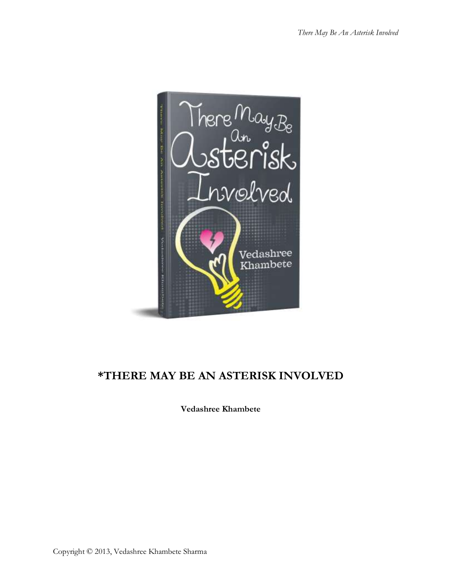

# **\*THERE MAY BE AN ASTERISK INVOLVED**

**Vedashree Khambete**

Copyright © 2013, Vedashree Khambete Sharma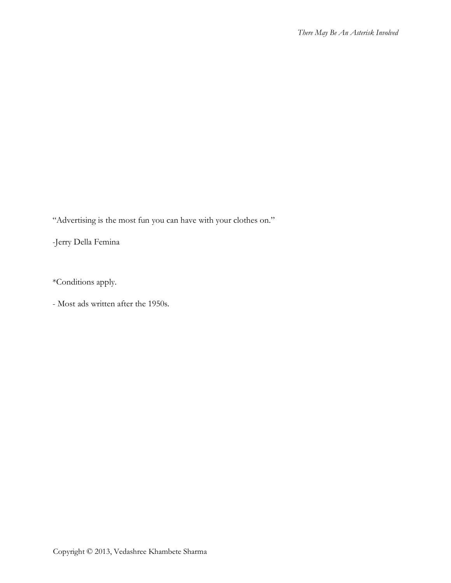"Advertising is the most fun you can have with your clothes on."

-Jerry Della Femina

\*Conditions apply.

- Most ads written after the 1950s.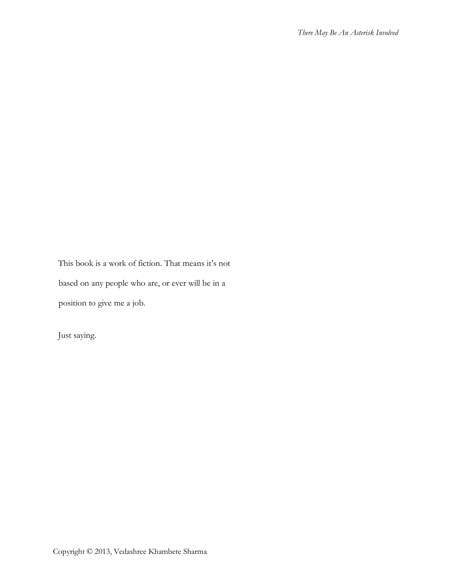This book is a work of fiction. That means it's not based on any people who are, or ever will be in a

position to give me a job.

Just saying.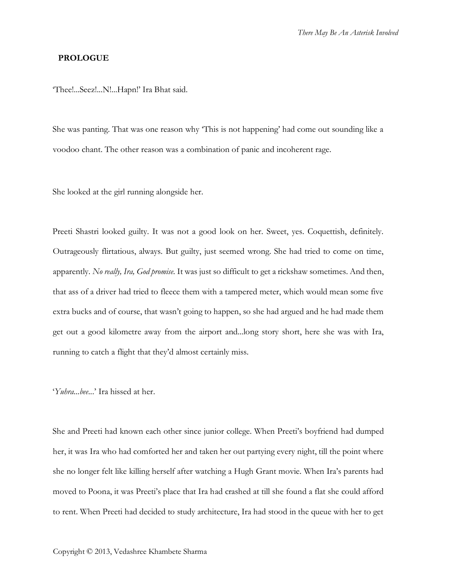#### **PROLOGUE**

'Thee!...Seez!...N!...Hapn!' Ira Bhat said.

She was panting. That was one reason why 'This is not happening' had come out sounding like a voodoo chant. The other reason was a combination of panic and incoherent rage.

She looked at the girl running alongside her.

Preeti Shastri looked guilty. It was not a good look on her. Sweet, yes. Coquettish, definitely. Outrageously flirtatious, always. But guilty, just seemed wrong. She had tried to come on time, apparently. *No really, Ira, God promise.* It was just so difficult to get a rickshaw sometimes. And then, that ass of a driver had tried to fleece them with a tampered meter, which would mean some five extra bucks and of course, that wasn't going to happen, so she had argued and he had made them get out a good kilometre away from the airport and...long story short, here she was with Ira, running to catch a flight that they'd almost certainly miss.

#### '*Yuhra...bee..*.' Ira hissed at her.

She and Preeti had known each other since junior college. When Preeti's boyfriend had dumped her, it was Ira who had comforted her and taken her out partying every night, till the point where she no longer felt like killing herself after watching a Hugh Grant movie. When Ira's parents had moved to Poona, it was Preeti's place that Ira had crashed at till she found a flat she could afford to rent. When Preeti had decided to study architecture, Ira had stood in the queue with her to get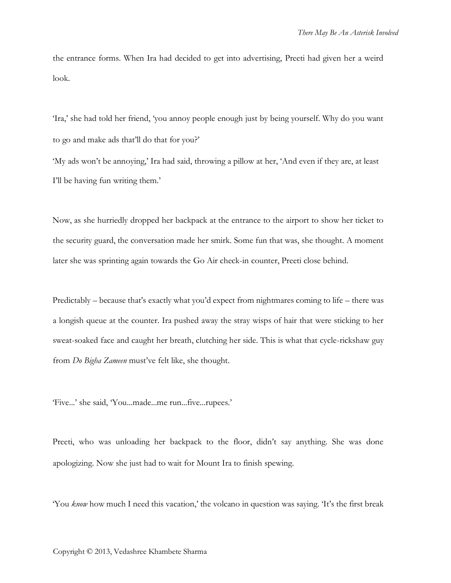the entrance forms. When Ira had decided to get into advertising, Preeti had given her a weird look.

'Ira,' she had told her friend, 'you annoy people enough just by being yourself. Why do you want to go and make ads that'll do that for you?'

'My ads won't be annoying,' Ira had said, throwing a pillow at her, 'And even if they are, at least I'll be having fun writing them.'

Now, as she hurriedly dropped her backpack at the entrance to the airport to show her ticket to the security guard, the conversation made her smirk. Some fun that was, she thought. A moment later she was sprinting again towards the Go Air check-in counter, Preeti close behind.

Predictably – because that's exactly what you'd expect from nightmares coming to life – there was a longish queue at the counter. Ira pushed away the stray wisps of hair that were sticking to her sweat-soaked face and caught her breath, clutching her side. This is what that cycle-rickshaw guy from *Do Bigha Zameen* must've felt like, she thought.

'Five...' she said, 'You...made...me run...five...rupees.'

Preeti, who was unloading her backpack to the floor, didn't say anything. She was done apologizing. Now she just had to wait for Mount Ira to finish spewing.

'You *know* how much I need this vacation,' the volcano in question was saying. 'It's the first break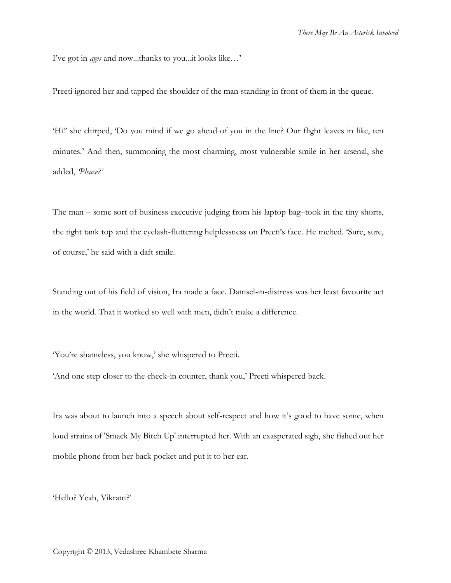I've got in *ages* and now...thanks to you...it looks like…'

Preeti ignored her and tapped the shoulder of the man standing in front of them in the queue.

'Hi!' she chirped, 'Do you mind if we go ahead of you in the line? Our flight leaves in like, ten minutes.' And then, summoning the most charming, most vulnerable smile in her arsenal, she added, *'Please?'*

The man – some sort of business executive judging from his laptop bag–took in the tiny shorts, the tight tank top and the eyelash-fluttering helplessness on Preeti's face. He melted. 'Sure, sure, of course,' he said with a daft smile.

Standing out of his field of vision, Ira made a face. Damsel-in-distress was her least favourite act in the world. That it worked so well with men, didn't make a difference.

'You're shameless, you know,' she whispered to Preeti.

'And one step closer to the check-in counter, thank you,' Preeti whispered back.

Ira was about to launch into a speech about self-respect and how it's good to have some, when loud strains of 'Smack My Bitch Up' interrupted her. With an exasperated sigh, she fished out her mobile phone from her back pocket and put it to her ear.

'Hello? Yeah, Vikram?'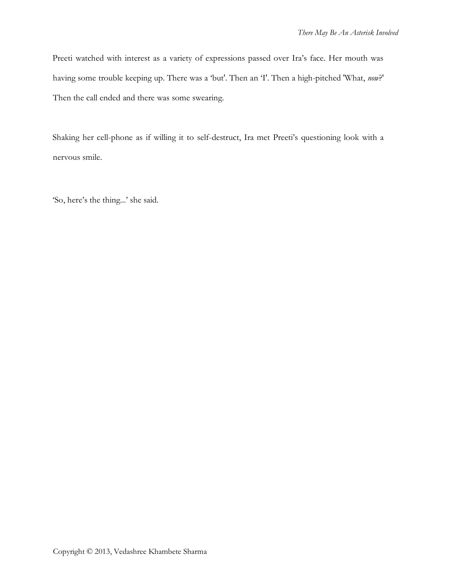Preeti watched with interest as a variety of expressions passed over Ira's face. Her mouth was having some trouble keeping up. There was a 'but'. Then an 'I'. Then a high-pitched 'What, *now*?' Then the call ended and there was some swearing.

Shaking her cell-phone as if willing it to self-destruct, Ira met Preeti's questioning look with a nervous smile.

'So, here's the thing...' she said.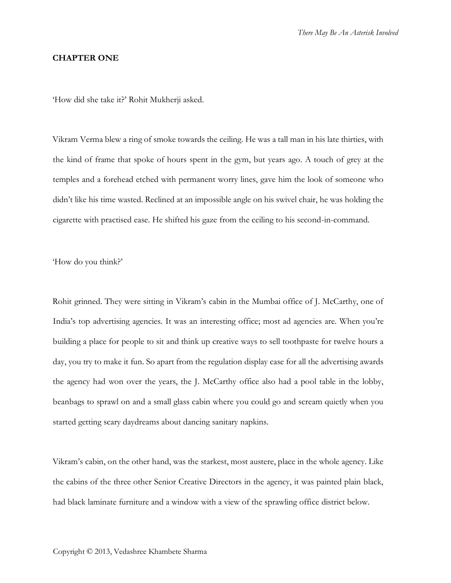#### **CHAPTER ONE**

'How did she take it?' Rohit Mukherji asked.

Vikram Verma blew a ring of smoke towards the ceiling. He was a tall man in his late thirties, with the kind of frame that spoke of hours spent in the gym, but years ago. A touch of grey at the temples and a forehead etched with permanent worry lines, gave him the look of someone who didn't like his time wasted. Reclined at an impossible angle on his swivel chair, he was holding the cigarette with practised ease. He shifted his gaze from the ceiling to his second-in-command.

'How do you think?'

Rohit grinned. They were sitting in Vikram's cabin in the Mumbai office of J. McCarthy, one of India's top advertising agencies. It was an interesting office; most ad agencies are. When you're building a place for people to sit and think up creative ways to sell toothpaste for twelve hours a day, you try to make it fun. So apart from the regulation display case for all the advertising awards the agency had won over the years, the J. McCarthy office also had a pool table in the lobby, beanbags to sprawl on and a small glass cabin where you could go and scream quietly when you started getting scary daydreams about dancing sanitary napkins.

Vikram's cabin, on the other hand, was the starkest, most austere, place in the whole agency. Like the cabins of the three other Senior Creative Directors in the agency, it was painted plain black, had black laminate furniture and a window with a view of the sprawling office district below.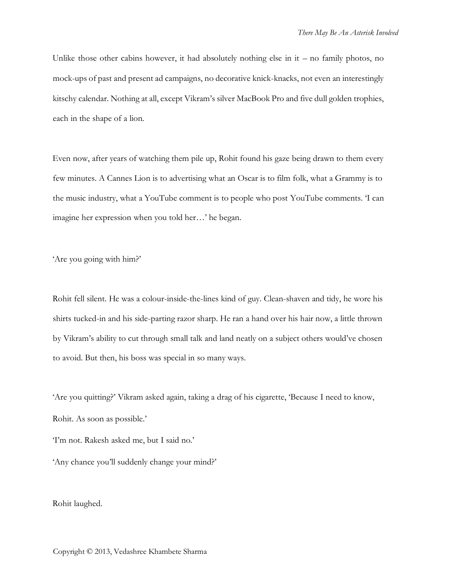Unlike those other cabins however, it had absolutely nothing else in  $it - no$  family photos, no mock-ups of past and present ad campaigns, no decorative knick-knacks, not even an interestingly kitschy calendar. Nothing at all, except Vikram's silver MacBook Pro and five dull golden trophies, each in the shape of a lion.

Even now, after years of watching them pile up, Rohit found his gaze being drawn to them every few minutes. A Cannes Lion is to advertising what an Oscar is to film folk, what a Grammy is to the music industry, what a YouTube comment is to people who post YouTube comments. 'I can imagine her expression when you told her…' he began.

'Are you going with him?'

Rohit fell silent. He was a colour-inside-the-lines kind of guy. Clean-shaven and tidy, he wore his shirts tucked-in and his side-parting razor sharp. He ran a hand over his hair now, a little thrown by Vikram's ability to cut through small talk and land neatly on a subject others would've chosen to avoid. But then, his boss was special in so many ways.

'Are you quitting?' Vikram asked again, taking a drag of his cigarette, 'Because I need to know, Rohit. As soon as possible.'

'I'm not. Rakesh asked me, but I said no.'

'Any chance you'll suddenly change your mind?'

Rohit laughed.

Copyright © 2013, Vedashree Khambete Sharma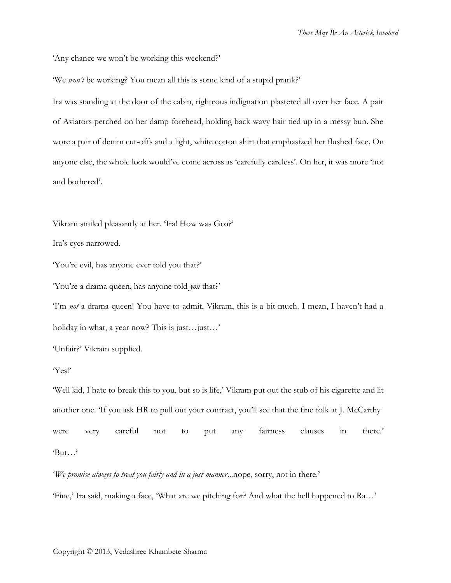'Any chance we won't be working this weekend?'

'We *won't* be working? You mean all this is some kind of a stupid prank?'

Ira was standing at the door of the cabin, righteous indignation plastered all over her face. A pair of Aviators perched on her damp forehead, holding back wavy hair tied up in a messy bun. She wore a pair of denim cut-offs and a light, white cotton shirt that emphasized her flushed face. On anyone else, the whole look would've come across as 'carefully careless'. On her, it was more 'hot and bothered'.

Vikram smiled pleasantly at her. 'Ira! How was Goa?'

Ira's eyes narrowed.

'You're evil, has anyone ever told you that?'

'You're a drama queen, has anyone told *you* that?'

'I'm *not* a drama queen! You have to admit, Vikram, this is a bit much. I mean, I haven't had a holiday in what, a year now? This is just…just…'

'Unfair?' Vikram supplied.

### 'Yes!'

'Well kid, I hate to break this to you, but so is life,' Vikram put out the stub of his cigarette and lit another one. 'If you ask HR to pull out your contract, you'll see that the fine folk at J. McCarthy were very careful not to put any fairness clauses in there.' 'But…'

'*We promise always to treat you fairly and in a just manner*...nope, sorry, not in there.'

'Fine,' Ira said, making a face, 'What are we pitching for? And what the hell happened to Ra…'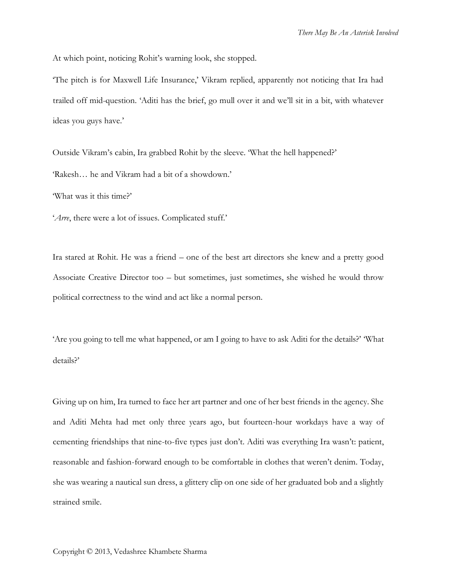At which point, noticing Rohit's warning look, she stopped.

'The pitch is for Maxwell Life Insurance,' Vikram replied, apparently not noticing that Ira had trailed off mid-question. 'Aditi has the brief, go mull over it and we'll sit in a bit, with whatever ideas you guys have.'

Outside Vikram's cabin, Ira grabbed Rohit by the sleeve. 'What the hell happened?' 'Rakesh… he and Vikram had a bit of a showdown.'

'What was it this time?'

'*Arre*, there were a lot of issues. Complicated stuff.'

Ira stared at Rohit. He was a friend – one of the best art directors she knew and a pretty good Associate Creative Director too – but sometimes, just sometimes, she wished he would throw political correctness to the wind and act like a normal person.

'Are you going to tell me what happened, or am I going to have to ask Aditi for the details?' 'What details?'

Giving up on him, Ira turned to face her art partner and one of her best friends in the agency. She and Aditi Mehta had met only three years ago, but fourteen-hour workdays have a way of cementing friendships that nine-to-five types just don't. Aditi was everything Ira wasn't: patient, reasonable and fashion-forward enough to be comfortable in clothes that weren't denim. Today, she was wearing a nautical sun dress, a glittery clip on one side of her graduated bob and a slightly strained smile.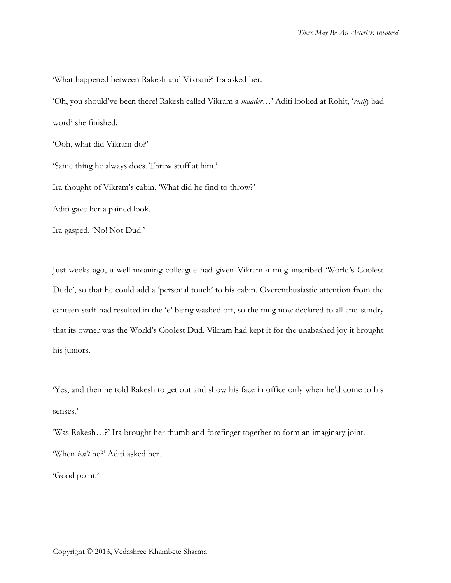'What happened between Rakesh and Vikram?' Ira asked her.

'Oh, you should've been there! Rakesh called Vikram a *maader*…' Aditi looked at Rohit, '*really* bad word' she finished.

'Ooh, what did Vikram do?'

'Same thing he always does. Threw stuff at him.'

Ira thought of Vikram's cabin. 'What did he find to throw?'

Aditi gave her a pained look.

Ira gasped. 'No! Not Dud!'

Just weeks ago, a well-meaning colleague had given Vikram a mug inscribed 'World's Coolest Dude', so that he could add a 'personal touch' to his cabin. Overenthusiastic attention from the canteen staff had resulted in the 'e' being washed off, so the mug now declared to all and sundry that its owner was the World's Coolest Dud. Vikram had kept it for the unabashed joy it brought his juniors.

'Yes, and then he told Rakesh to get out and show his face in office only when he'd come to his senses.'

'Was Rakesh…?' Ira brought her thumb and forefinger together to form an imaginary joint. 'When *isn't* he?' Aditi asked her.

'Good point.'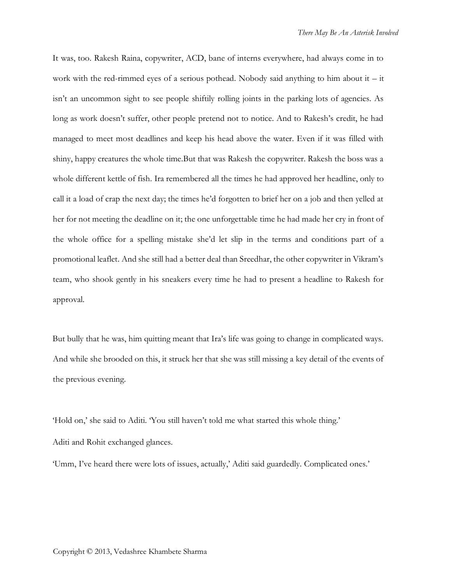It was, too. Rakesh Raina, copywriter, ACD, bane of interns everywhere, had always come in to work with the red-rimmed eyes of a serious pothead. Nobody said anything to him about it  $-$  it isn't an uncommon sight to see people shiftily rolling joints in the parking lots of agencies. As long as work doesn't suffer, other people pretend not to notice. And to Rakesh's credit, he had managed to meet most deadlines and keep his head above the water. Even if it was filled with shiny, happy creatures the whole time.But that was Rakesh the copywriter. Rakesh the boss was a whole different kettle of fish. Ira remembered all the times he had approved her headline, only to call it a load of crap the next day; the times he'd forgotten to brief her on a job and then yelled at her for not meeting the deadline on it; the one unforgettable time he had made her cry in front of the whole office for a spelling mistake she'd let slip in the terms and conditions part of a promotional leaflet. And she still had a better deal than Sreedhar, the other copywriter in Vikram's team, who shook gently in his sneakers every time he had to present a headline to Rakesh for approval.

But bully that he was, him quitting meant that Ira's life was going to change in complicated ways. And while she brooded on this, it struck her that she was still missing a key detail of the events of the previous evening.

'Hold on,' she said to Aditi. 'You still haven't told me what started this whole thing.' Aditi and Rohit exchanged glances.

'Umm, I've heard there were lots of issues, actually,' Aditi said guardedly. Complicated ones.'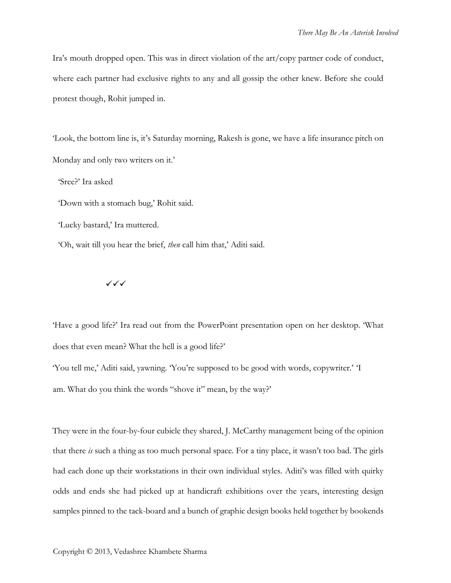Ira's mouth dropped open. This was in direct violation of the art/copy partner code of conduct, where each partner had exclusive rights to any and all gossip the other knew. Before she could protest though, Rohit jumped in.

'Look, the bottom line is, it's Saturday morning, Rakesh is gone, we have a life insurance pitch on Monday and only two writers on it.'

'Sree?' Ira asked

'Down with a stomach bug,' Rohit said.

'Lucky bastard,' Ira muttered.

'Oh, wait till you hear the brief, *then* call him that,' Aditi said.

✓✓✓

'Have a good life?' Ira read out from the PowerPoint presentation open on her desktop. 'What does that even mean? What the hell is a good life?' 'You tell me,' Aditi said, yawning. 'You're supposed to be good with words, copywriter.' 'I am. What do you think the words "shove it" mean, by the way?'

They were in the four-by-four cubicle they shared, J. McCarthy management being of the opinion that there *is* such a thing as too much personal space. For a tiny place, it wasn't too bad. The girls had each done up their workstations in their own individual styles. Aditi's was filled with quirky odds and ends she had picked up at handicraft exhibitions over the years, interesting design samples pinned to the tack-board and a bunch of graphic design books held together by bookends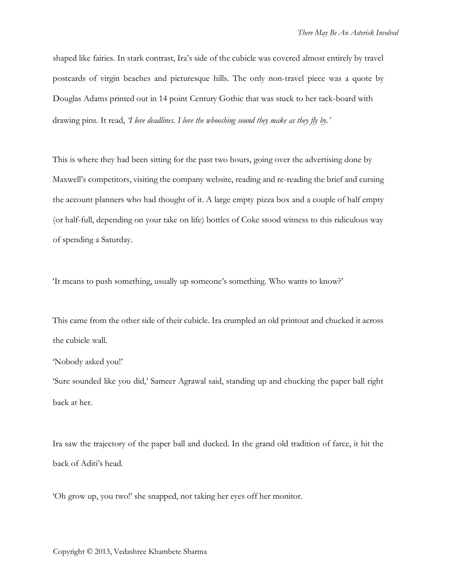shaped like fairies. In stark contrast, Ira's side of the cubicle was covered almost entirely by travel postcards of virgin beaches and picturesque hills. The only non-travel piece was a quote by Douglas Adams printed out in 14 point Century Gothic that was stuck to her tack-board with drawing pins. It read, *'I love deadlines. I love the whooshing sound they make as they fly by.'*

This is where they had been sitting for the past two hours, going over the advertising done by Maxwell's competitors, visiting the company website, reading and re-reading the brief and cursing the account planners who had thought of it. A large empty pizza box and a couple of half empty (or half-full, depending on your take on life) bottles of Coke stood witness to this ridiculous way of spending a Saturday.

'It means to push something, usually up someone's something. Who wants to know?'

This came from the other side of their cubicle. Ira crumpled an old printout and chucked it across the cubicle wall.

'Nobody asked you!'

'Sure sounded like you did,' Sameer Agrawal said, standing up and chucking the paper ball right back at her.

Ira saw the trajectory of the paper ball and ducked. In the grand old tradition of farce, it hit the back of Aditi's head.

'Oh grow up, you two!' she snapped, not taking her eyes off her monitor.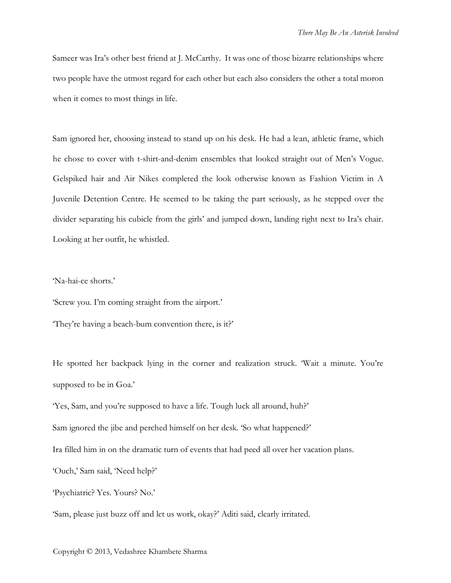Sameer was Ira's other best friend at J. McCarthy. It was one of those bizarre relationships where two people have the utmost regard for each other but each also considers the other a total moron when it comes to most things in life.

Sam ignored her, choosing instead to stand up on his desk. He had a lean, athletic frame, which he chose to cover with t-shirt-and-denim ensembles that looked straight out of Men's Vogue. Gelspiked hair and Air Nikes completed the look otherwise known as Fashion Victim in A Juvenile Detention Centre. He seemed to be taking the part seriously, as he stepped over the divider separating his cubicle from the girls' and jumped down, landing right next to Ira's chair. Looking at her outfit, he whistled.

'Na-hai-ce shorts.'

'Screw you. I'm coming straight from the airport.'

'They're having a beach-bum convention there, is it?'

He spotted her backpack lying in the corner and realization struck. 'Wait a minute. You're supposed to be in Goa.'

'Yes, Sam, and you're supposed to have a life. Tough luck all around, huh?'

Sam ignored the jibe and perched himself on her desk. 'So what happened?'

Ira filled him in on the dramatic turn of events that had peed all over her vacation plans.

'Ouch,' Sam said, 'Need help?'

'Psychiatric? Yes. Yours? No.'

'Sam, please just buzz off and let us work, okay?' Aditi said, clearly irritated.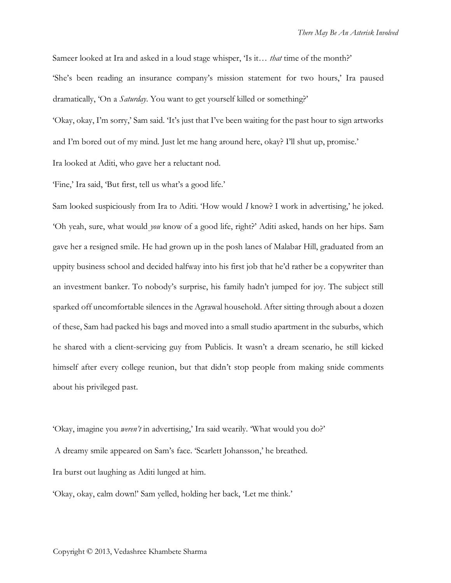Sameer looked at Ira and asked in a loud stage whisper, 'Is it… *that* time of the month?' 'She's been reading an insurance company's mission statement for two hours,' Ira paused dramatically, 'On a *Saturday*. You want to get yourself killed or something?'

'Okay, okay, I'm sorry,' Sam said. 'It's just that I've been waiting for the past hour to sign artworks and I'm bored out of my mind. Just let me hang around here, okay? I'll shut up, promise.'

Ira looked at Aditi, who gave her a reluctant nod.

'Fine,' Ira said, 'But first, tell us what's a good life.'

Sam looked suspiciously from Ira to Aditi. 'How would *I* know? I work in advertising,' he joked. 'Oh yeah, sure, what would *you* know of a good life, right?' Aditi asked, hands on her hips. Sam gave her a resigned smile. He had grown up in the posh lanes of Malabar Hill, graduated from an uppity business school and decided halfway into his first job that he'd rather be a copywriter than an investment banker. To nobody's surprise, his family hadn't jumped for joy. The subject still sparked off uncomfortable silences in the Agrawal household. After sitting through about a dozen of these, Sam had packed his bags and moved into a small studio apartment in the suburbs, which he shared with a client-servicing guy from Publicis. It wasn't a dream scenario, he still kicked himself after every college reunion, but that didn't stop people from making snide comments about his privileged past.

'Okay, imagine you *weren't* in advertising,' Ira said wearily. 'What would you do?'

A dreamy smile appeared on Sam's face. 'Scarlett Johansson,' he breathed.

Ira burst out laughing as Aditi lunged at him.

'Okay, okay, calm down!' Sam yelled, holding her back, 'Let me think.'

Copyright © 2013, Vedashree Khambete Sharma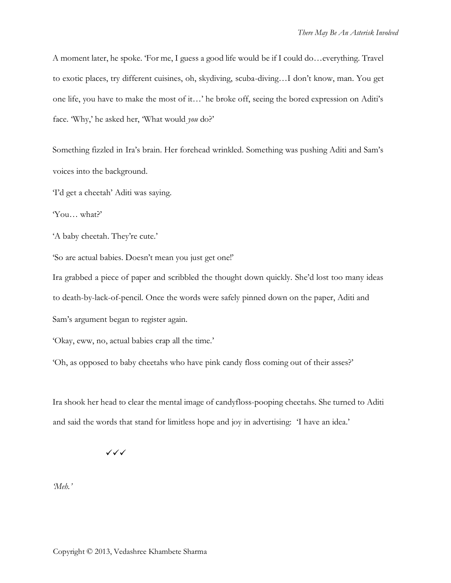A moment later, he spoke. 'For me, I guess a good life would be if I could do…everything. Travel to exotic places, try different cuisines, oh, skydiving, scuba-diving…I don't know, man. You get one life, you have to make the most of it…' he broke off, seeing the bored expression on Aditi's face. 'Why,' he asked her, 'What would *you* do?'

Something fizzled in Ira's brain. Her forehead wrinkled. Something was pushing Aditi and Sam's voices into the background.

'I'd get a cheetah' Aditi was saying.

'You… what?'

'A baby cheetah. They're cute.'

'So are actual babies. Doesn't mean you just get one!'

Ira grabbed a piece of paper and scribbled the thought down quickly. She'd lost too many ideas to death-by-lack-of-pencil. Once the words were safely pinned down on the paper, Aditi and Sam's argument began to register again.

'Okay, eww, no, actual babies crap all the time.'

'Oh, as opposed to baby cheetahs who have pink candy floss coming out of their asses?'

Ira shook her head to clear the mental image of candyfloss-pooping cheetahs. She turned to Aditi and said the words that stand for limitless hope and joy in advertising: 'I have an idea.'

✓✓✓

*'Meh.'*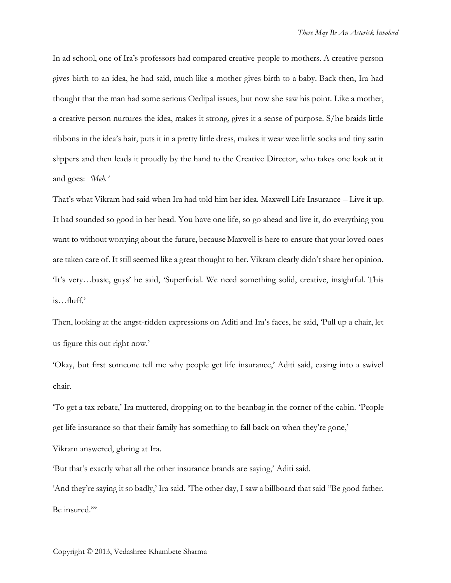In ad school, one of Ira's professors had compared creative people to mothers. A creative person gives birth to an idea, he had said, much like a mother gives birth to a baby. Back then, Ira had thought that the man had some serious Oedipal issues, but now she saw his point. Like a mother, a creative person nurtures the idea, makes it strong, gives it a sense of purpose. S/he braids little ribbons in the idea's hair, puts it in a pretty little dress, makes it wear wee little socks and tiny satin slippers and then leads it proudly by the hand to the Creative Director, who takes one look at it and goes: *'Meh.'*

That's what Vikram had said when Ira had told him her idea. Maxwell Life Insurance – Live it up. It had sounded so good in her head. You have one life, so go ahead and live it, do everything you want to without worrying about the future, because Maxwell is here to ensure that your loved ones are taken care of. It still seemed like a great thought to her. Vikram clearly didn't share her opinion. 'It's very…basic, guys' he said, 'Superficial. We need something solid, creative, insightful. This is…fluff.'

Then, looking at the angst-ridden expressions on Aditi and Ira's faces, he said, 'Pull up a chair, let us figure this out right now.'

'Okay, but first someone tell me why people get life insurance,' Aditi said, easing into a swivel chair.

'To get a tax rebate,' Ira muttered, dropping on to the beanbag in the corner of the cabin. 'People get life insurance so that their family has something to fall back on when they're gone,'

Vikram answered, glaring at Ira.

'But that's exactly what all the other insurance brands are saying,' Aditi said.

'And they're saying it so badly,' Ira said. 'The other day, I saw a billboard that said "Be good father. Be insured."'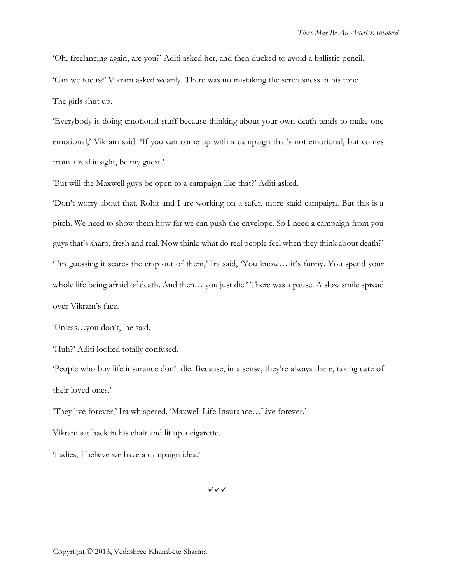'Oh, freelancing again, are you?' Aditi asked her, and then ducked to avoid a ballistic pencil.

'Can we focus?' Vikram asked wearily. There was no mistaking the seriousness in his tone.

The girls shut up.

'Everybody is doing emotional stuff because thinking about your own death tends to make one emotional,' Vikram said. 'If you can come up with a campaign that's not emotional, but comes from a real insight, be my guest.'

'But will the Maxwell guys be open to a campaign like that?' Aditi asked.

'Don't worry about that. Rohit and I are working on a safer, more staid campaign. But this is a pitch. We need to show them how far we can push the envelope. So I need a campaign from you guys that's sharp, fresh and real. Now think: what do real people feel when they think about death?' 'I'm guessing it scares the crap out of them,' Ira said, 'You know… it's funny. You spend your whole life being afraid of death. And then… you just die.' There was a pause. A slow smile spread over Vikram's face.

'Unless…you don't,' he said.

'Huh?' Aditi looked totally confused.

'People who buy life insurance don't die. Because, in a sense, they're always there, taking care of their loved ones.'

'They live forever,' Ira whispered. 'Maxwell Life Insurance…Live forever.'

Vikram sat back in his chair and lit up a cigarette.

'Ladies, I believe we have a campaign idea.'

✓✓✓

Copyright © 2013, Vedashree Khambete Sharma